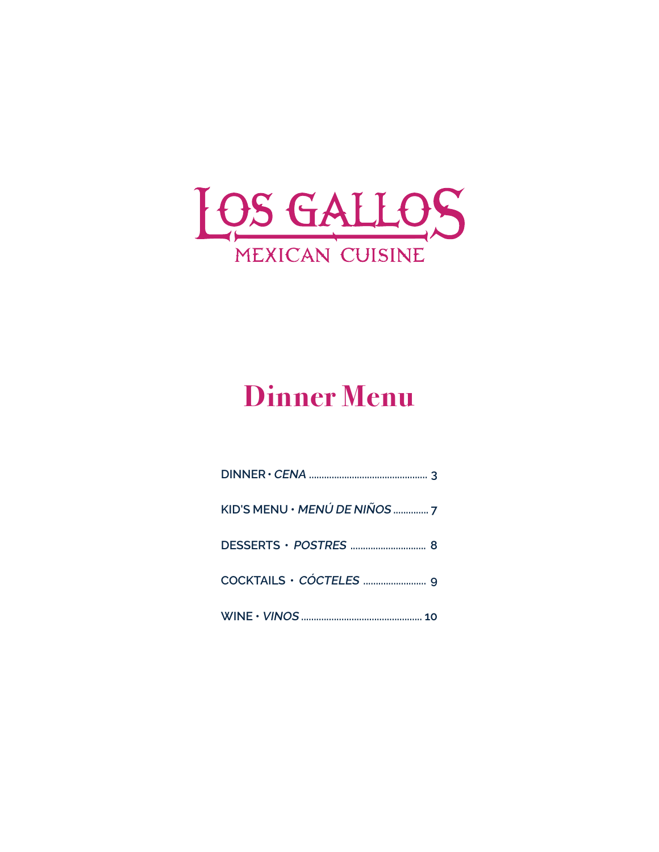

# **Dinner Menu**

| KID'S MENU · MENÚ DE NIÑOS  7 |
|-------------------------------|
|                               |
|                               |
|                               |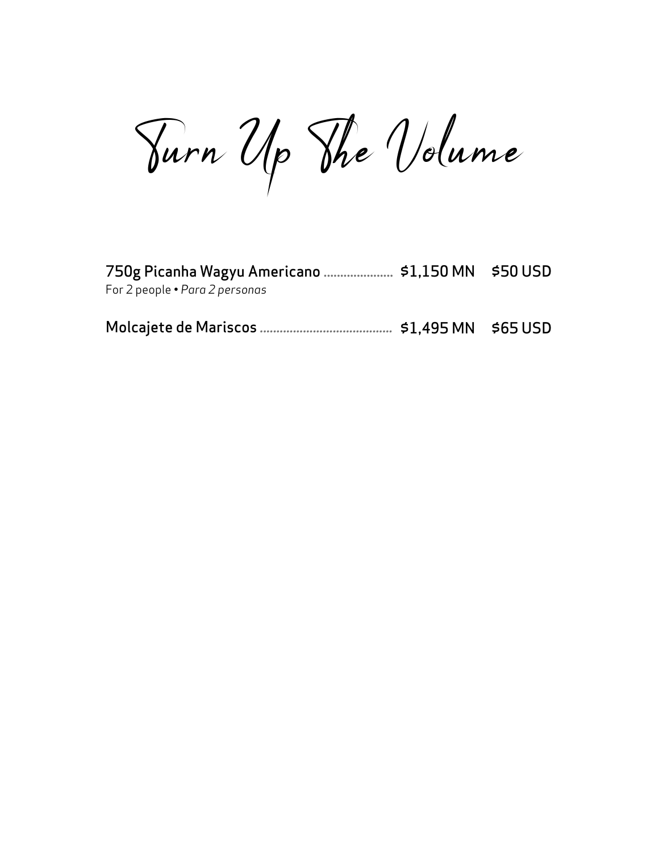Turn Up The Volume

| For 2 people • Para 2 personas |  |
|--------------------------------|--|
|                                |  |
|                                |  |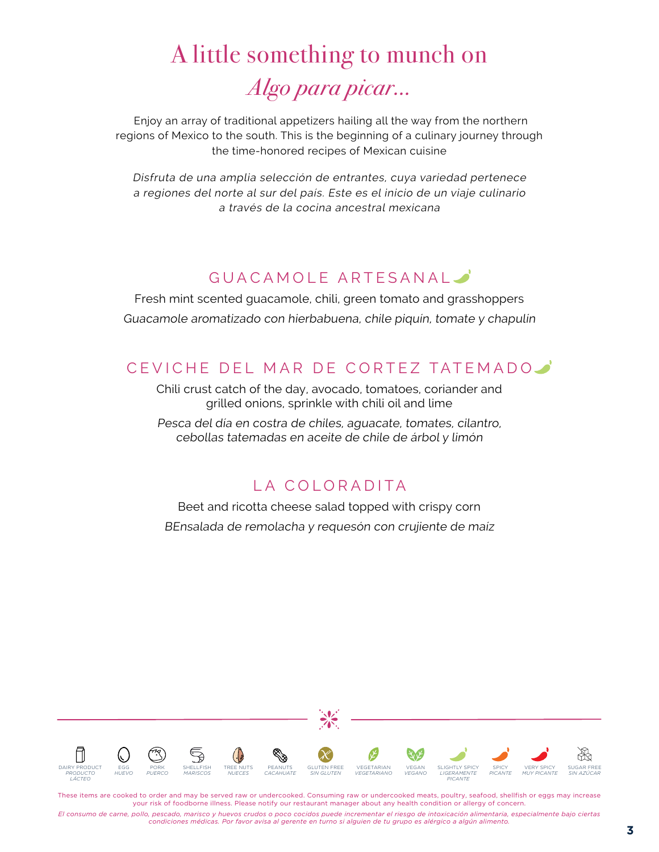# A little something to munch on Algo para picar...

 Enjoy an array of traditional appetizers hailing all the way from the northern regions of Mexico to the south. This is the beginning of a culinary journey through the time-honored recipes of Mexican cuisine

Disfruta de una amplia selección de entrantes, cuya variedad pertenece a regiones del norte al sur del país. Este es el inicio de un viaje culinario a través de la cocina ancestral mexicana

#### GUACAMOLE ARTESANAL

Fresh mint scented guacamole, chili, green tomato and grasshoppers Guacamole aromatizado con hierbabuena, chile piquín, tomate y chapulín

#### CEVICHE DEL MAR DE CORTEZ TATEMADO

Chili crust catch of the day, avocado, tomatoes, coriander and grilled onions, sprinkle with chili oil and lime

Pesca del día en costra de chiles, aguacate, tomates, cilantro, cebollas tatemadas en aceite de chile de árbol y limón

#### LA COLORADITA

Beet and ricotta cheese salad topped with crispy corn BEnsalada de remolacha y requesón con crujiente de maíz



These items are cooked to order and may be served raw or undercooked. Consuming raw or undercooked meats, poultry, seafood, shellfish or eggs may increase your risk of foodborne illness. Please notify our restaurant manager about any health condition or allergy of concern.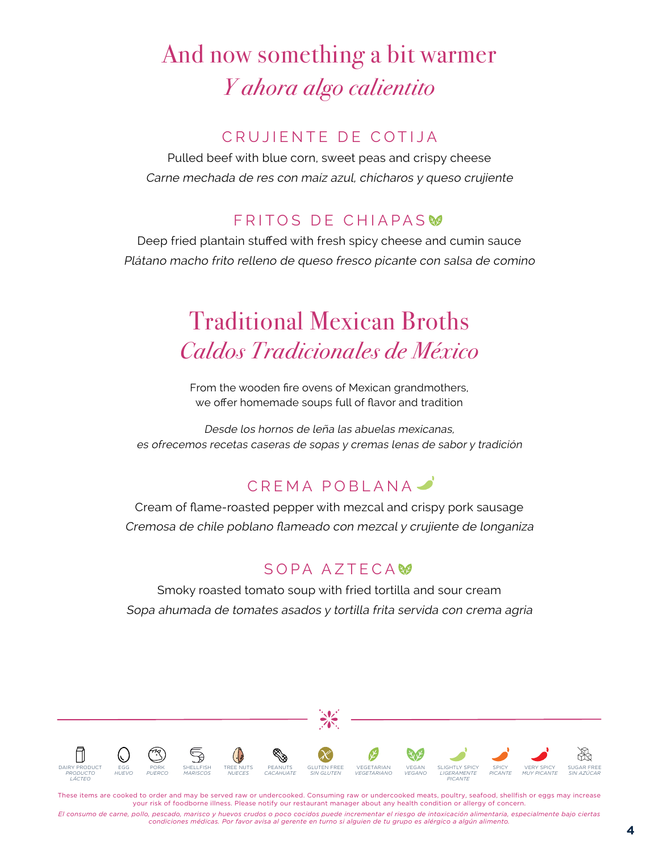# And now something a bit warmer Y ahora algo calientito

#### CRUJIENTE DE COTIJA

Pulled beef with blue corn, sweet peas and crispy cheese Carne mechada de res con maíz azul, chícharos y queso crujiente

#### FRITOS DE CHIAPAS

Deep fried plantain stuffed with fresh spicy cheese and cumin sauce Plátano macho frito relleno de queso fresco picante con salsa de comino

# Traditional Mexican Broths Caldos Tradicionales de México

From the wooden fire ovens of Mexican grandmothers, we offer homemade soups full of flavor and tradition

Desde los hornos de leña las abuelas mexicanas, es ofrecemos recetas caseras de sopas y cremas lenas de sabor y tradición

### CREMA POBLANA

Cream of flame-roasted pepper with mezcal and crispy pork sausage Cremosa de chile poblano flameado con mezcal y crujiente de longaniza

#### SOPA AZTECAM<sub>2</sub>

Smoky roasted tomato soup with fried tortilla and sour cream Sopa ahumada de tomates asados y tortilla frita servida con crema agria



These items are cooked to order and may be served raw or undercooked. Consuming raw or undercooked meats, poultry, seafood, shellfish or eggs may increase your risk of foodborne illness. Please notify our restaurant manager about any health condition or allergy of concern.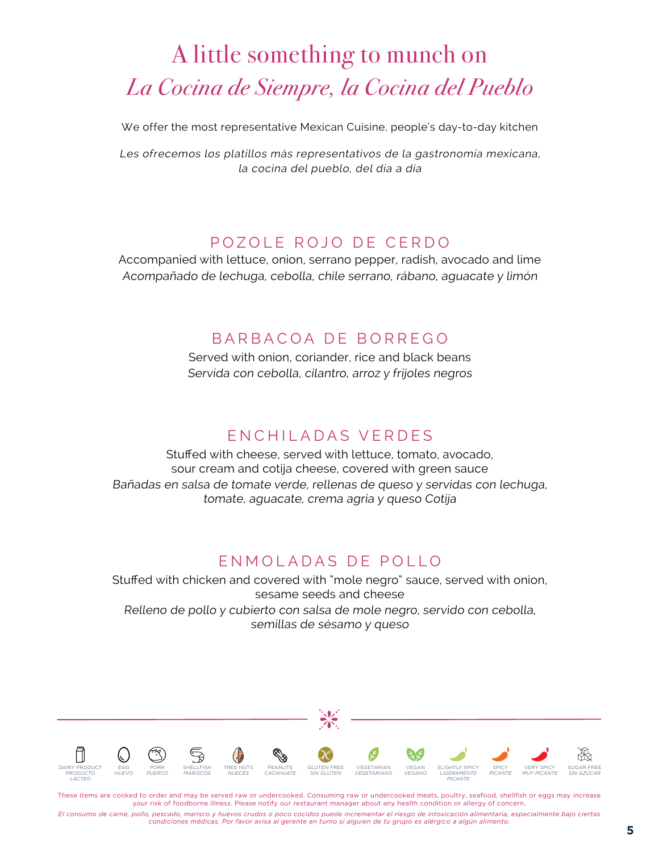# A little something to munch on La Cocina de Siempre, la Cocina del Pueblo

We offer the most representative Mexican Cuisine, people's day-to-day kitchen

Les ofrecemos los platillos más representativos de la gastronomía mexicana, la cocina del pueblo, del día a día

#### POZOLE ROJO DE CERDO

Accompanied with lettuce, onion, serrano pepper, radish, avocado and lime Acompañado de lechuga, cebolla, chile serrano, rábano, aguacate y limón

#### BARBACOA DE BORREGO

Served with onion, coriander, rice and black beans Servida con cebolla, cilantro, arroz y frijoles negros

#### ENCHILADAS VERDES

Stuffed with cheese, served with lettuce, tomato, avocado, sour cream and cotija cheese, covered with green sauce Bañadas en salsa de tomate verde, rellenas de queso y servidas con lechuga, tomate, aguacate, crema agria y queso Cotija

#### ENMOLADAS DE POLLO

Stuffed with chicken and covered with "mole negro" sauce, served with onion, sesame seeds and cheese Relleno de pollo y cubierto con salsa de mole negro, servido con cebolla, semillas de sésamo y queso



These items are cooked to order and may be served raw or undercooked. Consuming raw or undercooked meats, poultry, seafood, shellfish or eggs may increase your risk of foodborne illness. Please notify our restaurant manager about any health condition or allergy of concern.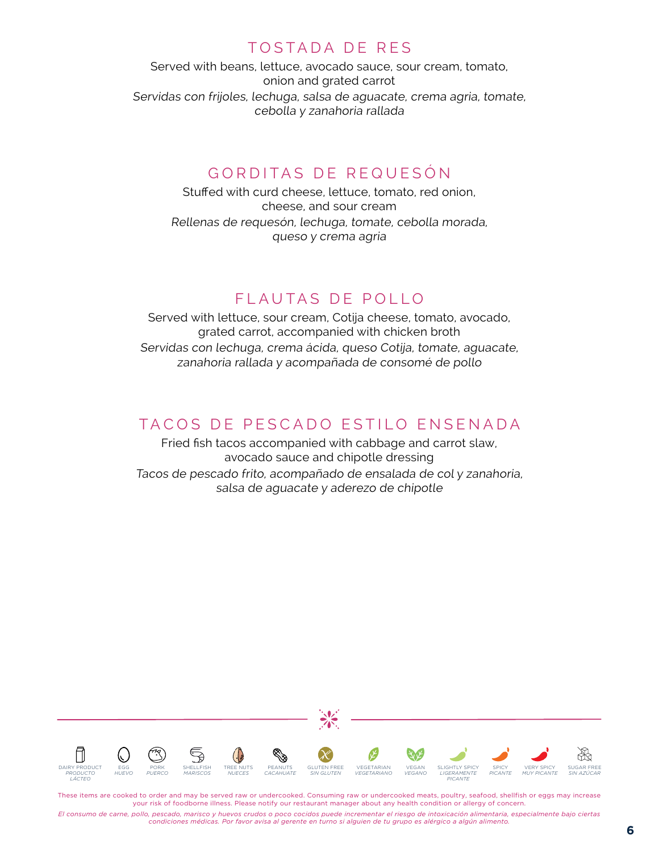#### TOSTADA DE RES

Served with beans, lettuce, avocado sauce, sour cream, tomato, onion and grated carrot Servidas con frijoles, lechuga, salsa de aguacate, crema agria, tomate, cebolla y zanahoria rallada

#### GORDITAS DE REQUESÓN

Stuffed with curd cheese, lettuce, tomato, red onion, cheese, and sour cream Rellenas de requesón, lechuga, tomate, cebolla morada, queso y crema agria

#### FLAUTAS DE POLLO

Served with lettuce, sour cream, Cotija cheese, tomato, avocado, grated carrot, accompanied with chicken broth Servidas con lechuga, crema ácida, queso Cotija, tomate, aguacate, zanahoria rallada y acompañada de consomé de pollo

#### TACOS DE PESCADO ESTILO ENSENADA

Fried fish tacos accompanied with cabbage and carrot slaw, avocado sauce and chipotle dressing Tacos de pescado frito, acompañado de ensalada de col y zanahoria, salsa de aguacate y aderezo de chipotle



These items are cooked to order and may be served raw or undercooked. Consuming raw or undercooked meats, poultry, seafood, shellfish or eggs may increase your risk of foodborne illness. Please notify our restaurant manager about any health condition or allergy of concern.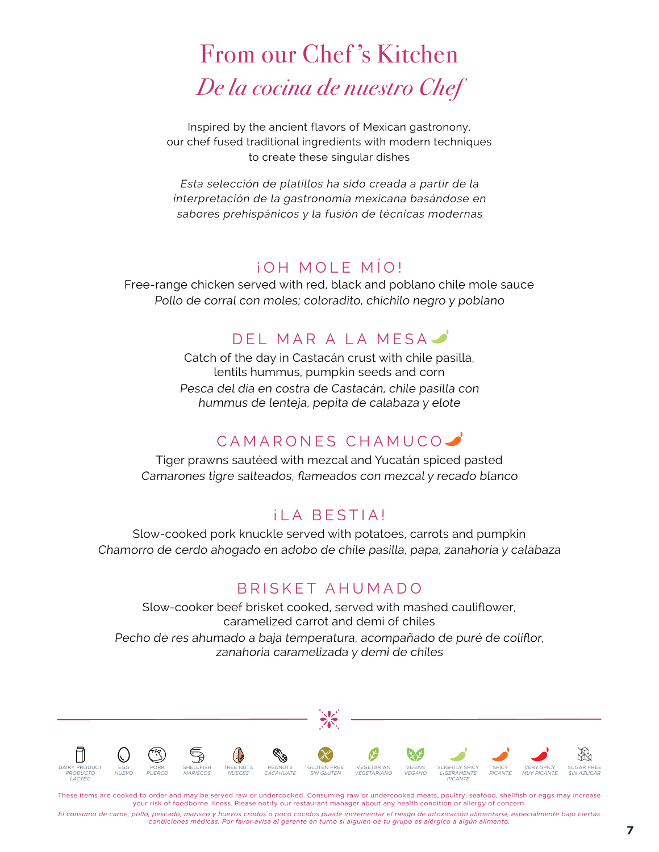# From our Chef 's Kitchen De la cocina de nuestro Chef

Inspired by the ancient flavors of Mexican gastronony, our chef fused traditional ingredients with modern techniques to create these singular dishes

Esta selección de platillos ha sido creada a partir de la interpretación de la gastronomía mexicana basándose en sabores prehispánicos y la fusión de técnicas modernas

#### ¡OH MOLE MÍO!

Free-range chicken served with red, black and poblano chile mole sauce Pollo de corral con moles; coloradito, chichilo negro y poblano

#### DEL MAR A LA MESA

Catch of the day in Castacán crust with chile pasilla, lentils hummus, pumpkin seeds and corn Pesca del día en costra de Castacán, chile pasilla con hummus de lenteja, pepita de calabaza y elote

#### CAMARONES CHAMUCO

Tiger prawns sautéed with mezcal and Yucatán spiced pasted Camarones tigre salteados, flameados con mezcal y recado blanco

#### ¡LA BESTIA!

Slow-cooked pork knuckle served with potatoes, carrots and pumpkin Chamorro de cerdo ahogado en adobo de chile pasilla, papa, zanahoria y calabaza

#### BRISKET AHUMADO

Slow-cooker beef brisket cooked, served with mashed cauliflower, caramelized carrot and demi of chiles Pecho de res ahumado a baja temperatura, acompañado de puré de coliflor, zanahoria caramelizada y demi de chiles



These items are cooked to order and may be served raw or undercooked. Consuming raw or undercooked meats, poultry, seafood, shellfish or eggs may increase your risk of foodborne illness. Please notify our restaurant manager about any health condition or allergy of concern.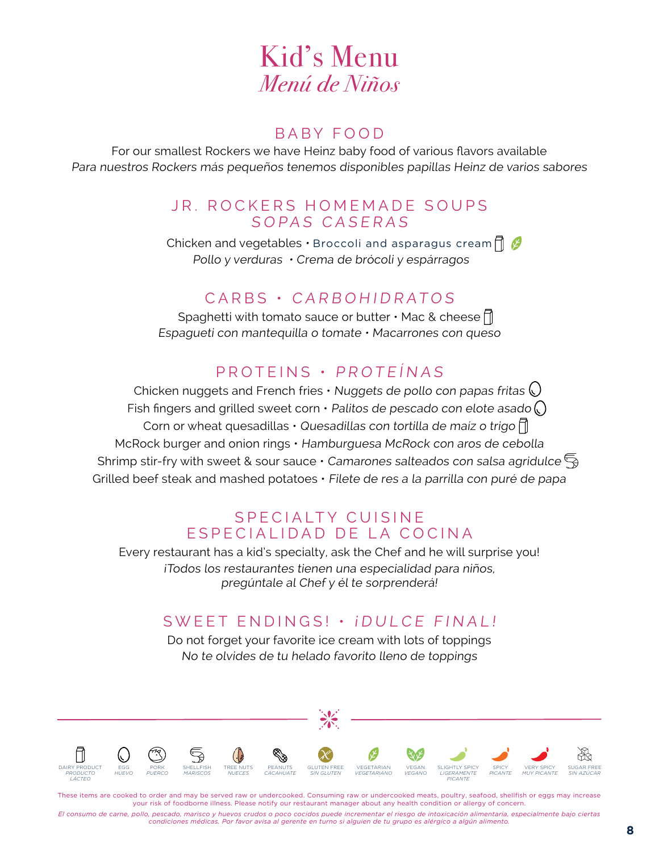## Kid's Menu Menú de Niños

#### BABY FOOD

For our smallest Rockers we have Heinz baby food of various flavors available Para nuestros Rockers más pequeños tenemos disponibles papillas Heinz de varios sabores

#### JR. ROCKERS HOMEMADE SOUPS SOPAS CASERAS

Chicken and vegetables  $\cdot$  Broccoli and asparagus cream $\bigcap$   $\mathcal O$ Pollo y verduras • Crema de brócoli y espárragos

#### CARBS • CARBOHIDRATOS

Spaghetti with tomato sauce or butter  $\cdot$  Mac & cheese  $\bigcap_{n=1}^{\infty}$ Espagueti con mantequilla o tomate • Macarrones con queso

#### PROTEINS • PROTEÍNAS

Chicken nuggets and French fries  $\cdot$  Nuggets de pollo con papas fritas  $\bigcirc$ Fish fingers and grilled sweet corn  $\cdot$  Palitos de pescado con elote asado  $\bigcirc$ Corn or wheat quesadillas  $\cdot$  Quesadillas con tortilla de maíz o trigo  $\bigcap$ McRock burger and onion rings • Hamburguesa McRock con aros de cebolla Shrimp stir-fry with sweet & sour sauce  $\cdot$  Camarones salteados con salsa agridulce  $\mathbb{S}_{\mathbb{R}}$ Grilled beef steak and mashed potatoes • Filete de res a la parrilla con puré de papa

#### SPECIALTY CUISINE E SPECIALIDAD DE LA COCINA

Every restaurant has a kid's specialty, ask the Chef and he will surprise you! ¡Todos los restaurantes tienen una especialidad para niños, pregúntale al Chef y él te sorprenderá!

#### SWEET ENDINGS! • ¡DULCE FINAL!

Do not forget your favorite ice cream with lots of toppings No te olvides de tu helado favorito lleno de toppings



These items are cooked to order and may be served raw or undercooked. Consuming raw or undercooked meats, poultry, seafood, shellfish or eggs may increase your risk of foodborne illness. Please notify our restaurant manager about any health condition or allergy of concern.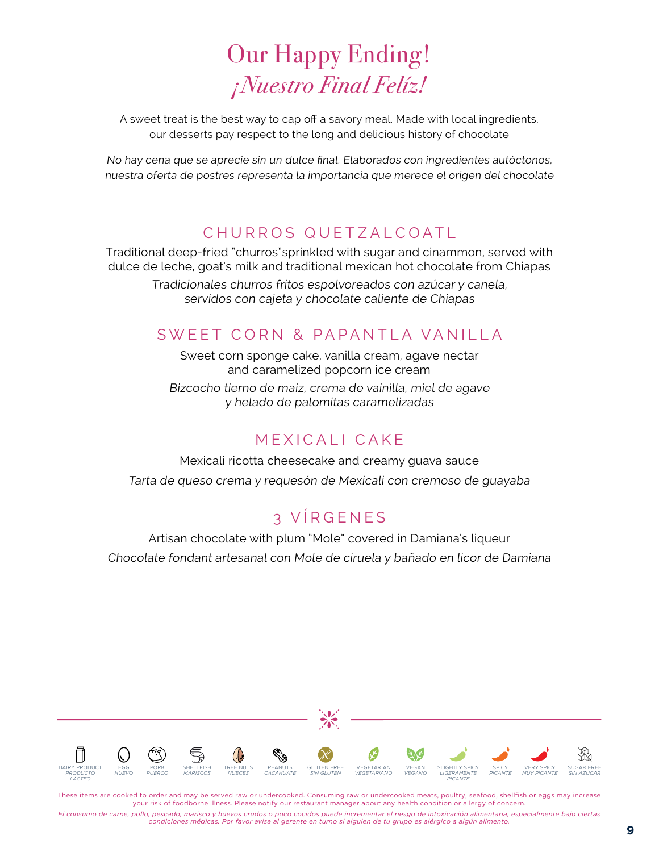# Our Happy Ending! ¡Nuestro Final Felíz!

A sweet treat is the best way to cap off a savory meal. Made with local ingredients, our desserts pay respect to the long and delicious history of chocolate

No hay cena que se aprecie sin un dulce final. Elaborados con ingredientes autóctonos, nuestra oferta de postres representa la importancia que merece el origen del chocolate

#### CHURROS QUETZALCOATL

Traditional deep-fried "churros"sprinkled with sugar and cinammon, served with dulce de leche, goat's milk and traditional mexican hot chocolate from Chiapas

Tradicionales churros fritos espolvoreados con azúcar y canela, servidos con cajeta y chocolate caliente de Chiapas

#### SWEET CORN & PAPANTLA VANILLA

Sweet corn sponge cake, vanilla cream, agave nectar and caramelized popcorn ice cream

Bizcocho tierno de maíz, crema de vainilla, miel de agave y helado de palomitas caramelizadas

#### MEXICALI CAKE

Mexicali ricotta cheesecake and creamy guava sauce Tarta de queso crema y requesón de Mexicali con cremoso de guayaba

#### 3 VÍRGENES

Artisan chocolate with plum "Mole" covered in Damiana's liqueur Chocolate fondant artesanal con Mole de ciruela y bañado en licor de Damiana



These items are cooked to order and may be served raw or undercooked. Consuming raw or undercooked meats, poultry, seafood, shellfish or eggs may increase your risk of foodborne illness. Please notify our restaurant manager about any health condition or allergy of concern.